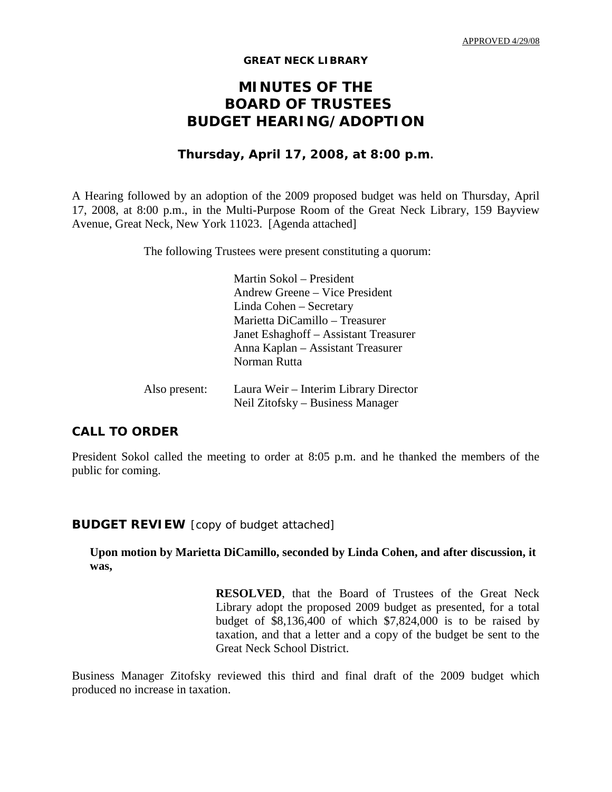#### **GREAT NECK LIBRARY**

# **MINUTES OF THE BOARD OF TRUSTEES BUDGET HEARING/ADOPTION**

## **Thursday, April 17, 2008, at 8:00 p.m.**

A Hearing followed by an adoption of the 2009 proposed budget was held on Thursday, April 17, 2008, at 8:00 p.m., in the Multi-Purpose Room of the Great Neck Library, 159 Bayview Avenue, Great Neck, New York 11023. [Agenda attached]

The following Trustees were present constituting a quorum:

|               | Martin Sokol – President                                                  |
|---------------|---------------------------------------------------------------------------|
|               | Andrew Greene – Vice President                                            |
|               | Linda Cohen – Secretary                                                   |
|               | Marietta DiCamillo - Treasurer                                            |
|               | Janet Eshaghoff – Assistant Treasurer                                     |
|               | Anna Kaplan – Assistant Treasurer                                         |
|               | Norman Rutta                                                              |
| Also present: | Laura Weir – Interim Library Director<br>Neil Zitofsky – Business Manager |

### **CALL TO ORDER**

President Sokol called the meeting to order at 8:05 p.m. and he thanked the members of the public for coming.

#### **BUDGET REVIEW** [copy of budget attached]

### **Upon motion by Marietta DiCamillo, seconded by Linda Cohen, and after discussion, it was,**

**RESOLVED**, that the Board of Trustees of the Great Neck Library adopt the proposed 2009 budget as presented, for a total budget of \$8,136,400 of which \$7,824,000 is to be raised by taxation, and that a letter and a copy of the budget be sent to the Great Neck School District.

Business Manager Zitofsky reviewed this third and final draft of the 2009 budget which produced no increase in taxation.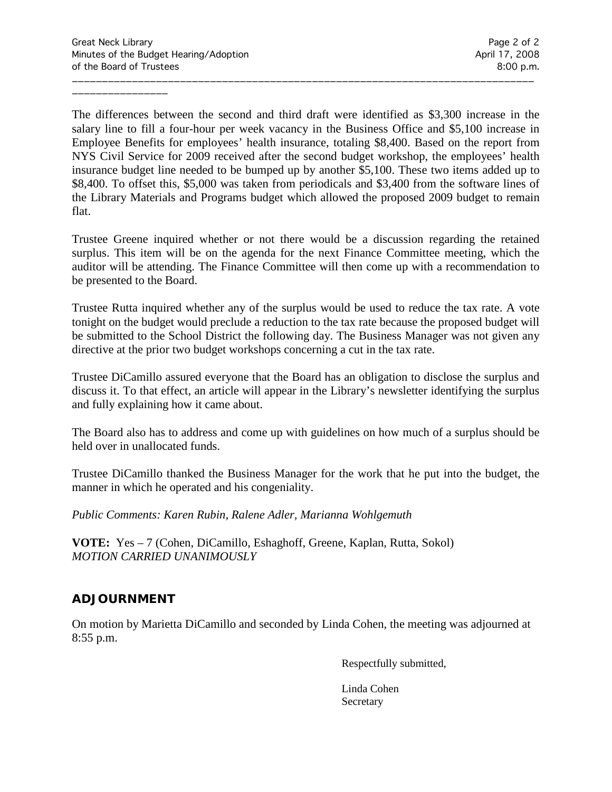\_\_\_\_\_\_\_\_\_\_\_\_\_\_\_\_

The differences between the second and third draft were identified as \$3,300 increase in the salary line to fill a four-hour per week vacancy in the Business Office and \$5,100 increase in Employee Benefits for employees' health insurance, totaling \$8,400. Based on the report from NYS Civil Service for 2009 received after the second budget workshop, the employees' health insurance budget line needed to be bumped up by another \$5,100. These two items added up to \$8,400. To offset this, \$5,000 was taken from periodicals and \$3,400 from the software lines of the Library Materials and Programs budget which allowed the proposed 2009 budget to remain flat.

\_\_\_\_\_\_\_\_\_\_\_\_\_\_\_\_\_\_\_\_\_\_\_\_\_\_\_\_\_\_\_\_\_\_\_\_\_\_\_\_\_\_\_\_\_\_\_\_\_\_\_\_\_\_\_\_\_\_\_\_\_\_\_\_\_\_\_\_\_\_\_\_\_\_\_\_\_

Trustee Greene inquired whether or not there would be a discussion regarding the retained surplus. This item will be on the agenda for the next Finance Committee meeting, which the auditor will be attending. The Finance Committee will then come up with a recommendation to be presented to the Board.

Trustee Rutta inquired whether any of the surplus would be used to reduce the tax rate. A vote tonight on the budget would preclude a reduction to the tax rate because the proposed budget will be submitted to the School District the following day. The Business Manager was not given any directive at the prior two budget workshops concerning a cut in the tax rate.

Trustee DiCamillo assured everyone that the Board has an obligation to disclose the surplus and discuss it. To that effect, an article will appear in the Library's newsletter identifying the surplus and fully explaining how it came about.

The Board also has to address and come up with guidelines on how much of a surplus should be held over in unallocated funds.

Trustee DiCamillo thanked the Business Manager for the work that he put into the budget, the manner in which he operated and his congeniality.

*Public Comments: Karen Rubin, Ralene Adler, Marianna Wohlgemuth*

**VOTE:** Yes – 7 (Cohen, DiCamillo, Eshaghoff, Greene, Kaplan, Rutta, Sokol) *MOTION CARRIED UNANIMOUSLY*

# **ADJOURNMENT**

On motion by Marietta DiCamillo and seconded by Linda Cohen, the meeting was adjourned at 8:55 p.m.

Respectfully submitted,

Linda Cohen **Secretary**